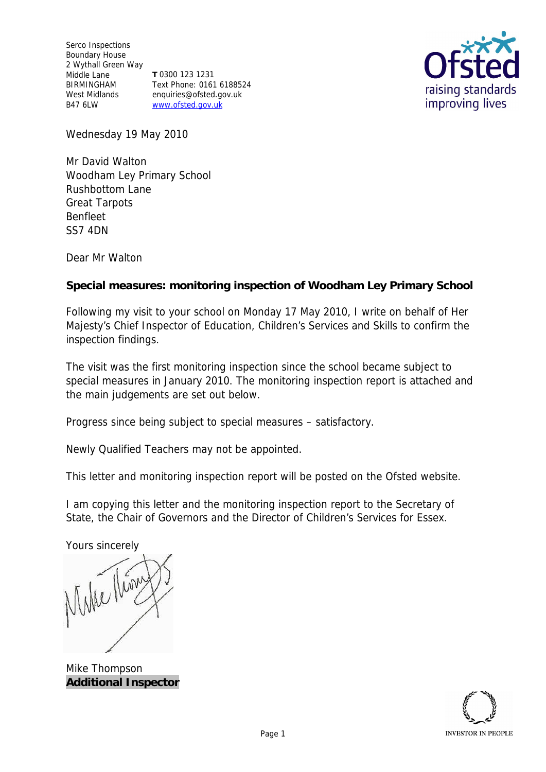Serco Inspections Boundary House 2 Wythall Green Way Middle Lane BIRMINGHAM West Midlands B47 6LW **T** 0300 123 1231 Text Phone: 0161 6188524 enquiries@ofsted.gov.uk www.ofsted.gov.uk



Wednesday 19 May 2010

Mr David Walton Woodham Ley Primary School Rushbottom Lane Great Tarpots Benfleet SS7 4DN

Dear Mr Walton

**Special measures: monitoring inspection of Woodham Ley Primary School**

Following my visit to your school on Monday 17 May 2010, I write on behalf of Her Majesty's Chief Inspector of Education, Children's Services and Skills to confirm the inspection findings.

The visit was the first monitoring inspection since the school became subject to special measures in January 2010. The monitoring inspection report is attached and the main judgements are set out below.

Progress since being subject to special measures *–* satisfactory.

Newly Qualified Teachers may not be appointed.

This letter and monitoring inspection report will be posted on the Ofsted website.

I am copying this letter and the monitoring inspection report to the Secretary of State, the Chair of Governors and the Director of Children's Services for Essex.

Yours sincerely

When them

Mike Thompson **Additional Inspector**

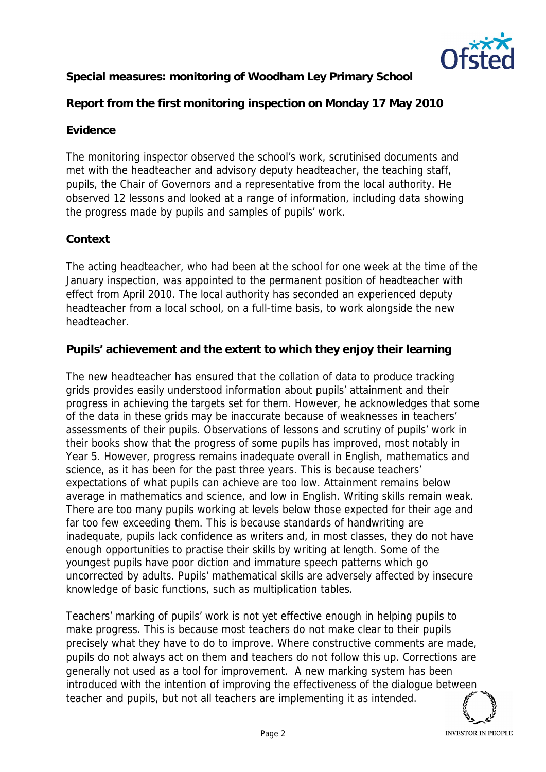

**Special measures: monitoring of Woodham Ley Primary School**

**Report from the first monitoring inspection on Monday 17 May 2010**

# **Evidence**

The monitoring inspector observed the school's work, scrutinised documents and met with the headteacher and advisory deputy headteacher, the teaching staff, pupils, the Chair of Governors and a representative from the local authority. He observed 12 lessons and looked at a range of information, including data showing the progress made by pupils and samples of pupils' work.

# **Context**

The acting headteacher, who had been at the school for one week at the time of the January inspection, was appointed to the permanent position of headteacher with effect from April 2010. The local authority has seconded an experienced deputy headteacher from a local school, on a full-time basis, to work alongside the new headteacher.

**Pupils' achievement and the extent to which they enjoy their learning**

The new headteacher has ensured that the collation of data to produce tracking grids provides easily understood information about pupils' attainment and their progress in achieving the targets set for them. However, he acknowledges that some of the data in these grids may be inaccurate because of weaknesses in teachers' assessments of their pupils. Observations of lessons and scrutiny of pupils' work in their books show that the progress of some pupils has improved, most notably in Year 5. However, progress remains inadequate overall in English, mathematics and science, as it has been for the past three years. This is because teachers' expectations of what pupils can achieve are too low. Attainment remains below average in mathematics and science, and low in English. Writing skills remain weak. There are too many pupils working at levels below those expected for their age and far too few exceeding them. This is because standards of handwriting are inadequate, pupils lack confidence as writers and, in most classes, they do not have enough opportunities to practise their skills by writing at length. Some of the youngest pupils have poor diction and immature speech patterns which go uncorrected by adults. Pupils' mathematical skills are adversely affected by insecure knowledge of basic functions, such as multiplication tables.

Teachers' marking of pupils' work is not yet effective enough in helping pupils to make progress. This is because most teachers do not make clear to their pupils precisely what they have to do to improve. Where constructive comments are made, pupils do not always act on them and teachers do not follow this up. Corrections are generally not used as a tool for improvement. A new marking system has been introduced with the intention of improving the effectiveness of the dialogue between teacher and pupils, but not all teachers are implementing it as intended.

**INVESTOR IN PEOPLE**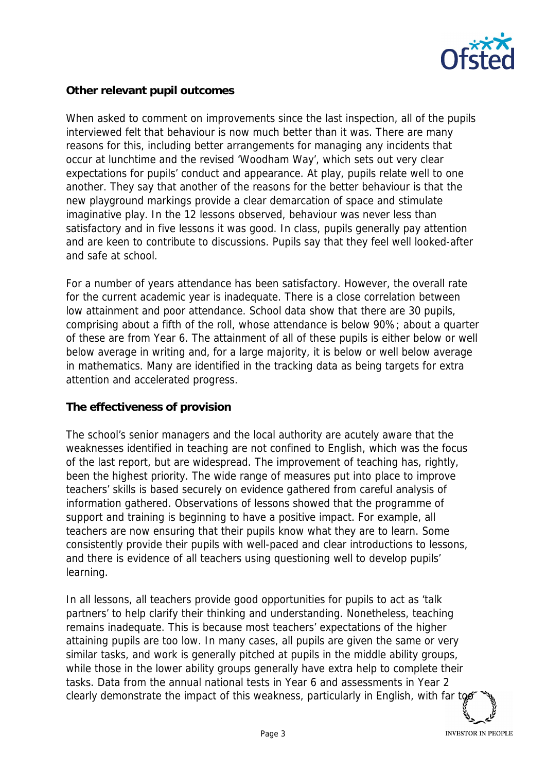

## **Other relevant pupil outcomes**

When asked to comment on improvements since the last inspection, all of the pupils interviewed felt that behaviour is now much better than it was. There are many reasons for this, including better arrangements for managing any incidents that occur at lunchtime and the revised 'Woodham Way', which sets out very clear expectations for pupils' conduct and appearance. At play, pupils relate well to one another. They say that another of the reasons for the better behaviour is that the new playground markings provide a clear demarcation of space and stimulate imaginative play. In the 12 lessons observed, behaviour was never less than satisfactory and in five lessons it was good. In class, pupils generally pay attention and are keen to contribute to discussions. Pupils say that they feel well looked-after and safe at school.

For a number of years attendance has been satisfactory. However, the overall rate for the current academic year is inadequate. There is a close correlation between low attainment and poor attendance. School data show that there are 30 pupils, comprising about a fifth of the roll, whose attendance is below 90%; about a quarter of these are from Year 6. The attainment of all of these pupils is either below or well below average in writing and, for a large majority, it is below or well below average in mathematics. Many are identified in the tracking data as being targets for extra attention and accelerated progress.

### **The effectiveness of provision**

The school's senior managers and the local authority are acutely aware that the weaknesses identified in teaching are not confined to English, which was the focus of the last report, but are widespread. The improvement of teaching has, rightly, been the highest priority. The wide range of measures put into place to improve teachers' skills is based securely on evidence gathered from careful analysis of information gathered. Observations of lessons showed that the programme of support and training is beginning to have a positive impact. For example, all teachers are now ensuring that their pupils know what they are to learn. Some consistently provide their pupils with well-paced and clear introductions to lessons, and there is evidence of all teachers using questioning well to develop pupils' learning.

In all lessons, all teachers provide good opportunities for pupils to act as 'talk partners' to help clarify their thinking and understanding. Nonetheless, teaching remains inadequate. This is because most teachers' expectations of the higher attaining pupils are too low. In many cases, all pupils are given the same or very similar tasks, and work is generally pitched at pupils in the middle ability groups, while those in the lower ability groups generally have extra help to complete their tasks. Data from the annual national tests in Year 6 and assessments in Year 2 clearly demonstrate the impact of this weakness, particularly in English, with far to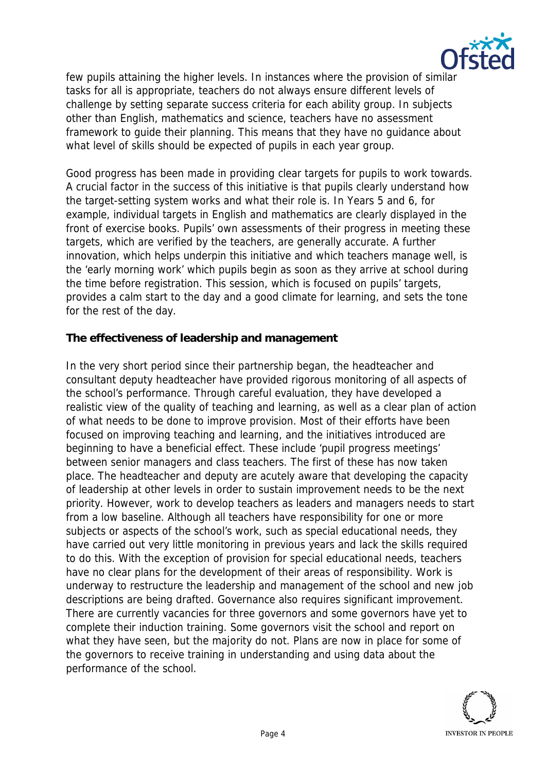

few pupils attaining the higher levels. In instances where the provision of similar tasks for all is appropriate, teachers do not always ensure different levels of challenge by setting separate success criteria for each ability group. In subjects other than English, mathematics and science, teachers have no assessment framework to guide their planning. This means that they have no guidance about what level of skills should be expected of pupils in each year group.

Good progress has been made in providing clear targets for pupils to work towards. A crucial factor in the success of this initiative is that pupils clearly understand how the target-setting system works and what their role is. In Years 5 and 6, for example, individual targets in English and mathematics are clearly displayed in the front of exercise books. Pupils' own assessments of their progress in meeting these targets, which are verified by the teachers, are generally accurate. A further innovation, which helps underpin this initiative and which teachers manage well, is the 'early morning work' which pupils begin as soon as they arrive at school during the time before registration. This session, which is focused on pupils' targets, provides a calm start to the day and a good climate for learning, and sets the tone for the rest of the day.

**The effectiveness of leadership and management**

In the very short period since their partnership began, the headteacher and consultant deputy headteacher have provided rigorous monitoring of all aspects of the school's performance. Through careful evaluation, they have developed a realistic view of the quality of teaching and learning, as well as a clear plan of action of what needs to be done to improve provision. Most of their efforts have been focused on improving teaching and learning, and the initiatives introduced are beginning to have a beneficial effect. These include 'pupil progress meetings' between senior managers and class teachers. The first of these has now taken place. The headteacher and deputy are acutely aware that developing the capacity of leadership at other levels in order to sustain improvement needs to be the next priority. However, work to develop teachers as leaders and managers needs to start from a low baseline. Although all teachers have responsibility for one or more subjects or aspects of the school's work, such as special educational needs, they have carried out very little monitoring in previous years and lack the skills required to do this. With the exception of provision for special educational needs, teachers have no clear plans for the development of their areas of responsibility. Work is underway to restructure the leadership and management of the school and new job descriptions are being drafted. Governance also requires significant improvement. There are currently vacancies for three governors and some governors have yet to complete their induction training. Some governors visit the school and report on what they have seen, but the majority do not. Plans are now in place for some of the governors to receive training in understanding and using data about the performance of the school.